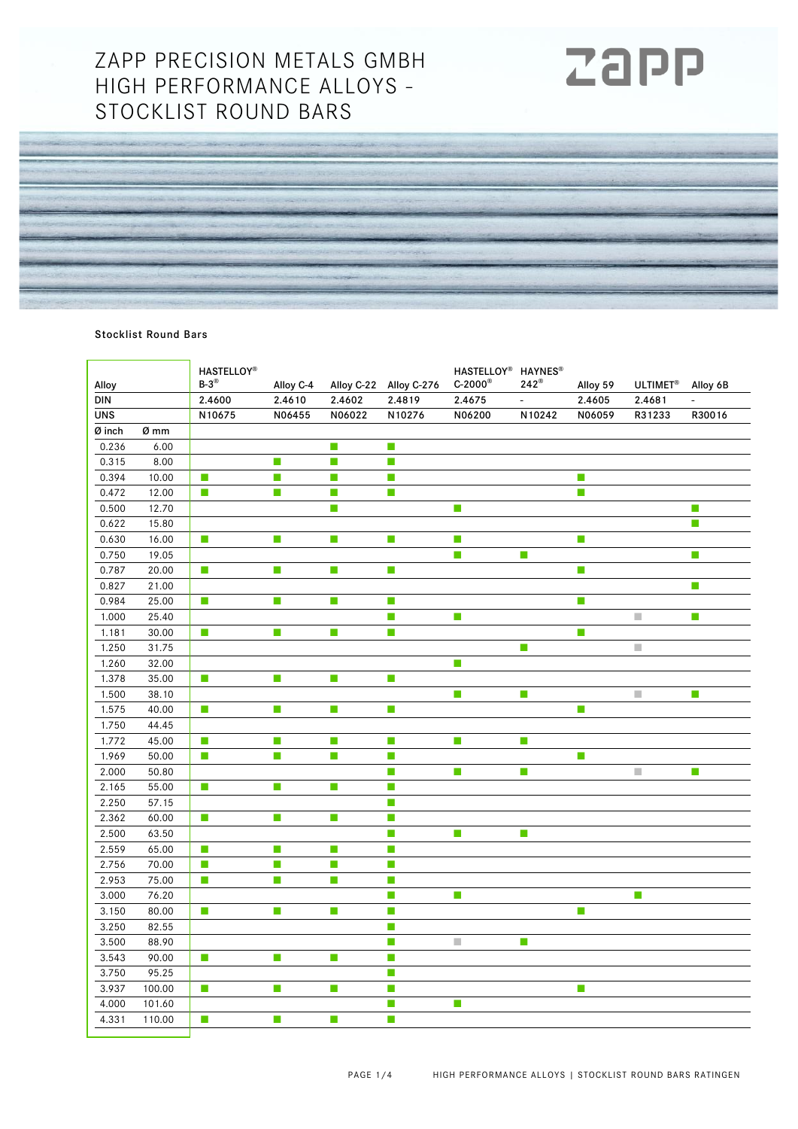## ZAPP PRECISION METALS GMBH HIGH PERFORMANCE ALLOYS - STOCKLIST ROUND BARS



## Stocklist Round Bars

| Alloy      |        | <b>HASTELLOY®</b><br>$B-3^{\circledR}$ | Alloy C-4                   | Alloy C-22 | Alloy C-276                 | HASTELLOY <sup>®</sup> HAYNES <sup>®</sup><br>$C-2000$ <sup>®</sup> | $242^{\circ}$               | Alloy 59                    | ULTIMET <sup>®</sup>        | Alloy 6B |
|------------|--------|----------------------------------------|-----------------------------|------------|-----------------------------|---------------------------------------------------------------------|-----------------------------|-----------------------------|-----------------------------|----------|
| DIN        |        | 2.4600                                 | 2.4610                      | 2.4602     | 2.4819                      | 2.4675                                                              | $\overline{\phantom{a}}$    | 2.4605                      | 2.4681                      |          |
| <b>UNS</b> |        | N10675                                 | N06455                      | N06022     | N10276                      | N06200                                                              | N10242                      | N06059                      | R31233                      | R30016   |
| Ø inch     | Ø mm   |                                        |                             |            |                             |                                                                     |                             |                             |                             |          |
| 0.236      | 6.00   |                                        |                             | П          | T.                          |                                                                     |                             |                             |                             |          |
| 0.315      | 8.00   |                                        | m,                          | П          | m,                          |                                                                     |                             |                             |                             |          |
| 0.394      | 10.00  | m.                                     | $\mathcal{C}$               | П          | $\mathcal{L}_{\mathcal{A}}$ |                                                                     |                             | $\mathcal{C}^{\mathcal{A}}$ |                             |          |
| 0.472      | 12.00  | $\mathcal{C}$                          | $\mathcal{L}_{\mathcal{A}}$ | П          | $\mathcal{L}_{\mathcal{A}}$ |                                                                     |                             | $\mathbb{R}^n$              |                             |          |
| 0.500      | 12.70  |                                        |                             | П          |                             | $\mathcal{L}_{\mathcal{A}}$                                         |                             |                             |                             | $\Box$   |
| 0.622      | 15.80  |                                        |                             |            |                             |                                                                     |                             |                             |                             | $\Box$   |
| 0.630      | 16.00  | $\mathcal{L}_{\mathcal{A}}$            | m,                          | П          | П                           | m,                                                                  |                             | $\mathcal{L}_{\mathcal{A}}$ |                             |          |
| 0.750      | 19.05  |                                        |                             |            |                             | m.                                                                  | $\mathcal{L}_{\mathcal{A}}$ |                             |                             | T.       |
| 0.787      | 20.00  | $\mathcal{L}_{\mathcal{A}}$            | п                           | П          | $\mathbb{Z}^2$              |                                                                     |                             | T.                          |                             |          |
| 0.827      | 21.00  |                                        |                             |            |                             |                                                                     |                             |                             |                             | П        |
| 0.984      | 25.00  | T.                                     | m,                          | П          | $\blacksquare$              |                                                                     |                             | m,                          |                             |          |
| 1.000      | 25.40  |                                        |                             |            | $\mathcal{L}_{\mathcal{A}}$ | П                                                                   |                             |                             | m.                          | П        |
| 1.181      | 30.00  | П                                      | T.                          | П          | $\mathbb{Z}^2$              |                                                                     |                             | T.                          |                             |          |
| 1.250      | 31.75  |                                        |                             |            |                             |                                                                     | m,                          |                             | $\mathcal{L}_{\mathcal{A}}$ |          |
| 1.260      | 32.00  |                                        |                             |            |                             | $\mathbb{R}^n$                                                      |                             |                             |                             |          |
| 1.378      | 35.00  | П                                      | m,                          | П          | П                           |                                                                     |                             |                             |                             |          |
| 1.500      | 38.10  |                                        |                             |            |                             | $\Box$                                                              | $\mathcal{C}$               |                             | $\mathcal{L}_{\mathcal{A}}$ | $\Box$   |
| 1.575      | 40.00  | $\mathcal{L}_{\mathcal{A}}$            | m,                          | П          | $\blacksquare$              |                                                                     |                             | T.                          |                             |          |
| 1.750      | 44.45  |                                        |                             |            |                             |                                                                     |                             |                             |                             |          |
| 1.772      | 45.00  | $\mathbb{R}^n$                         | m,                          | $\Box$     | T.                          | П                                                                   | T.                          |                             |                             |          |
| 1.969      | 50.00  | $\mathcal{C}$                          | m,                          | П          | T.                          |                                                                     |                             | $\mathcal{C}$               |                             |          |
| 2.000      | 50.80  |                                        |                             |            | T.                          | П                                                                   | m,                          |                             | $\mathcal{L}_{\mathcal{A}}$ | $\Box$   |
| 2.165      | 55.00  | $\mathcal{C}^{\mathcal{A}}$            | T.                          | <b>I</b>   | П                           |                                                                     |                             |                             |                             |          |
| 2.250      | 57.15  |                                        |                             |            | T.                          |                                                                     |                             |                             |                             |          |
| 2.362      | 60.00  | П                                      | m,                          | П          | $\mathbb{Z}^2$              |                                                                     |                             |                             |                             |          |
| 2.500      | 63.50  |                                        |                             |            | m,                          | T.                                                                  | m,                          |                             |                             |          |
| 2.559      | 65.00  | П                                      | T.                          | П          | $\mathcal{L}_{\mathcal{A}}$ |                                                                     |                             |                             |                             |          |
| 2.756      | 70.00  | $\mathbb{R}^n$                         | П                           | $\Box$     | П                           |                                                                     |                             |                             |                             |          |
| 2.953      | 75.00  | $\mathcal{L}_{\mathcal{A}}$            | T.                          | П          | T.                          |                                                                     |                             |                             |                             |          |
| 3.000      | 76.20  |                                        |                             |            | П                           | L.                                                                  |                             |                             | $\mathcal{L}_{\mathcal{A}}$ |          |
| 3.150      | 80.00  | $\mathcal{L}_{\mathcal{A}}$            | T.                          | <b>I</b>   | $\mathbb{R}^2$              |                                                                     |                             | $\mathcal{C}^{\mathcal{A}}$ |                             |          |
| 3.250      | 82.55  |                                        |                             |            | m,                          |                                                                     |                             |                             |                             |          |
| 3.500      | 88.90  |                                        |                             |            | T.                          | $\overline{\phantom{a}}$                                            | m,                          |                             |                             |          |
| 3.543      | 90.00  | $\mathcal{C}^{\mathcal{A}}$            | T.                          | П          | П                           |                                                                     |                             |                             |                             |          |
| 3.750      | 95.25  |                                        |                             |            | П                           |                                                                     |                             |                             |                             |          |
| 3.937      | 100.00 | T.                                     | T.                          | П          | $\mathbb{Z}^2$              |                                                                     |                             | m.                          |                             |          |
| 4.000      | 101.60 |                                        |                             |            | m,                          | $\Box$                                                              |                             |                             |                             |          |
| 4.331      | 110.00 | $\mathbb{Z}^2$                         | T.                          | $\Box$     | T.                          |                                                                     |                             |                             |                             |          |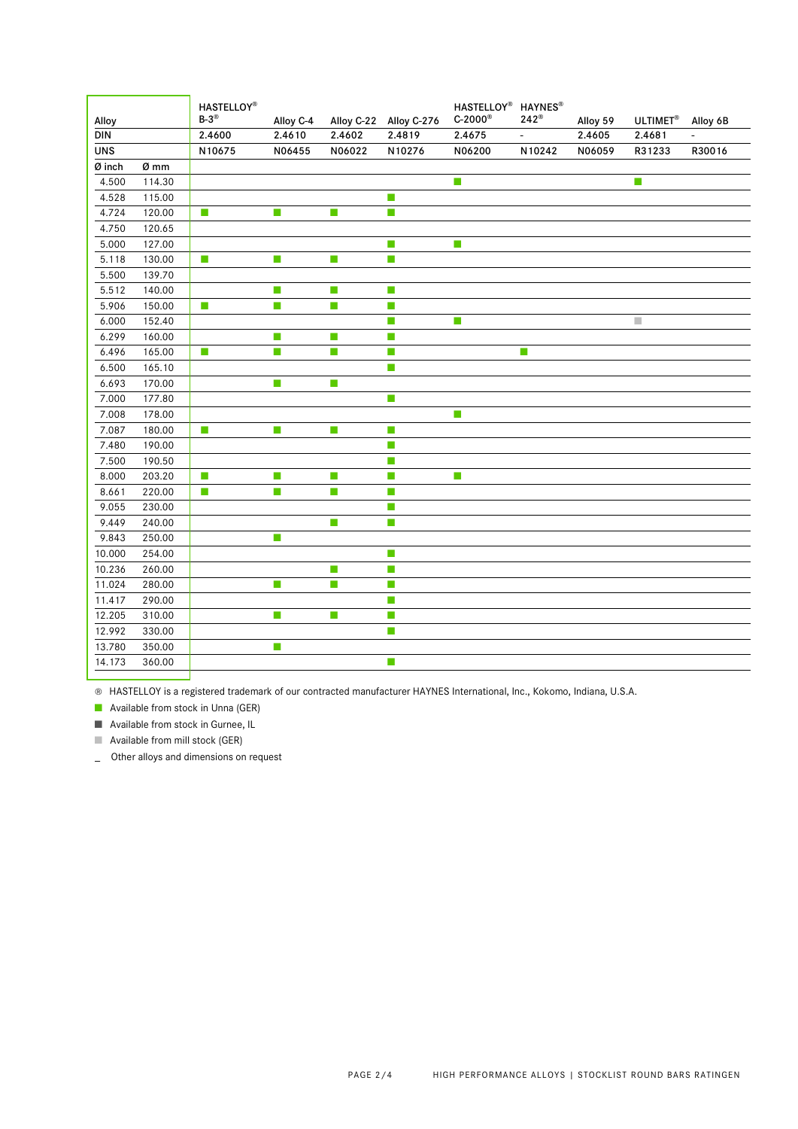| Alloy      |        | <b>HASTELLOY®</b><br>$B-3^{\circledR}$ | Alloy C-4 | Alloy C-22 | Alloy C-276                 | HASTELLOY <sup>®</sup> HAYNES <sup>®</sup><br>$C-2000$ ® | $242^{\circledR}$ | Alloy 59 | <b>ULTIMET®</b> | Alloy 6B |
|------------|--------|----------------------------------------|-----------|------------|-----------------------------|----------------------------------------------------------|-------------------|----------|-----------------|----------|
| DIN        |        | 2.4600                                 | 2.4610    | 2.4602     | 2.4819                      | 2.4675                                                   | $\frac{1}{2}$     | 2.4605   | 2.4681          |          |
| <b>UNS</b> |        | N10675                                 | N06455    | N06022     | N10276                      | N06200                                                   | N10242            | N06059   | R31233          | R30016   |
| Ø inch     | Ø mm   |                                        |           |            |                             |                                                          |                   |          |                 |          |
| 4.500      | 114.30 |                                        |           |            |                             | T.                                                       |                   |          | T.              |          |
| 4.528      | 115.00 |                                        |           |            | T.                          |                                                          |                   |          |                 |          |
| 4.724      | 120.00 | T.                                     | T.        | T.         | $\mathcal{C}^{\mathcal{A}}$ |                                                          |                   |          |                 |          |
| 4.750      | 120.65 |                                        |           |            |                             |                                                          |                   |          |                 |          |
| 5.000      | 127.00 |                                        |           |            | T.                          | T.                                                       |                   |          |                 |          |
| 5.118      | 130.00 | $\mathcal{C}^{\mathcal{A}}$            | m,        | m,         | m,                          |                                                          |                   |          |                 |          |
| 5.500      | 139.70 |                                        |           |            |                             |                                                          |                   |          |                 |          |
| 5.512      | 140.00 |                                        | T.        | П          | T.                          |                                                          |                   |          |                 |          |
| 5.906      | 150.00 | $\overline{\phantom{a}}$               | m.        | П          | T.                          |                                                          |                   |          |                 |          |
| 6.000      | 152.40 |                                        |           |            | T.                          | m.                                                       |                   |          | n.              |          |
| 6.299      | 160.00 |                                        | T.        | m,         | T.                          |                                                          |                   |          |                 |          |
| 6.496      | 165.00 | П                                      | m,        | m,         | T.                          |                                                          | T.                |          |                 |          |
| 6.500      | 165.10 |                                        |           |            | m.                          |                                                          |                   |          |                 |          |
| 6.693      | 170.00 |                                        | T.        | T.         |                             |                                                          |                   |          |                 |          |
| 7.000      | 177.80 |                                        |           |            | T.                          |                                                          |                   |          |                 |          |
| 7.008      | 178.00 |                                        |           |            |                             | П                                                        |                   |          |                 |          |
| 7.087      | 180.00 | $\mathcal{C}^{\mathcal{A}}$            | T.        | П          | $\mathbb{R}^n$              |                                                          |                   |          |                 |          |
| 7.480      | 190.00 |                                        |           |            | $\mathcal{L}_{\mathcal{A}}$ |                                                          |                   |          |                 |          |
| 7.500      | 190.50 |                                        |           |            | $\mathbb{R}^n$              |                                                          |                   |          |                 |          |
| 8.000      | 203.20 | m.                                     | m,        | T.         | $\mathcal{L}_{\mathcal{A}}$ | m.                                                       |                   |          |                 |          |
| 8.661      | 220.00 | T.                                     | T.        | T.         | П                           |                                                          |                   |          |                 |          |
| 9.055      | 230.00 |                                        |           |            | П                           |                                                          |                   |          |                 |          |
| 9.449      | 240.00 |                                        |           | П          | $\mathcal{L}_{\mathcal{A}}$ |                                                          |                   |          |                 |          |
| 9.843      | 250.00 |                                        | T.        |            |                             |                                                          |                   |          |                 |          |
| 10.000     | 254.00 |                                        |           |            | $\mathcal{L}_{\mathcal{A}}$ |                                                          |                   |          |                 |          |
| 10.236     | 260.00 |                                        |           | T.         | $\mathcal{L}_{\mathcal{A}}$ |                                                          |                   |          |                 |          |
| 11.024     | 280.00 |                                        | T.        | П          | $\mathcal{C}^{\mathcal{A}}$ |                                                          |                   |          |                 |          |
| 11.417     | 290.00 |                                        |           |            | $\mathcal{L}_{\mathcal{A}}$ |                                                          |                   |          |                 |          |
| 12.205     | 310.00 |                                        | T.        | T.         | $\mathcal{L}_{\mathcal{A}}$ |                                                          |                   |          |                 |          |
| 12.992     | 330.00 |                                        |           |            | T.                          |                                                          |                   |          |                 |          |
| 13.780     | 350.00 |                                        | T.        |            |                             |                                                          |                   |          |                 |          |
| 14.173     | 360.00 |                                        |           |            | T.                          |                                                          |                   |          |                 |          |
|            |        |                                        |           |            |                             |                                                          |                   |          |                 |          |

® HASTELLOY is a registered trademark of our contracted manufacturer HAYNES International, Inc., Kokomo, Indiana, U.S.A.

■ Available from stock in Unna (GER)

■ Available from stock in Gurnee, IL

■ Available from mill stock (GER)

\_ Other alloys and dimensions on request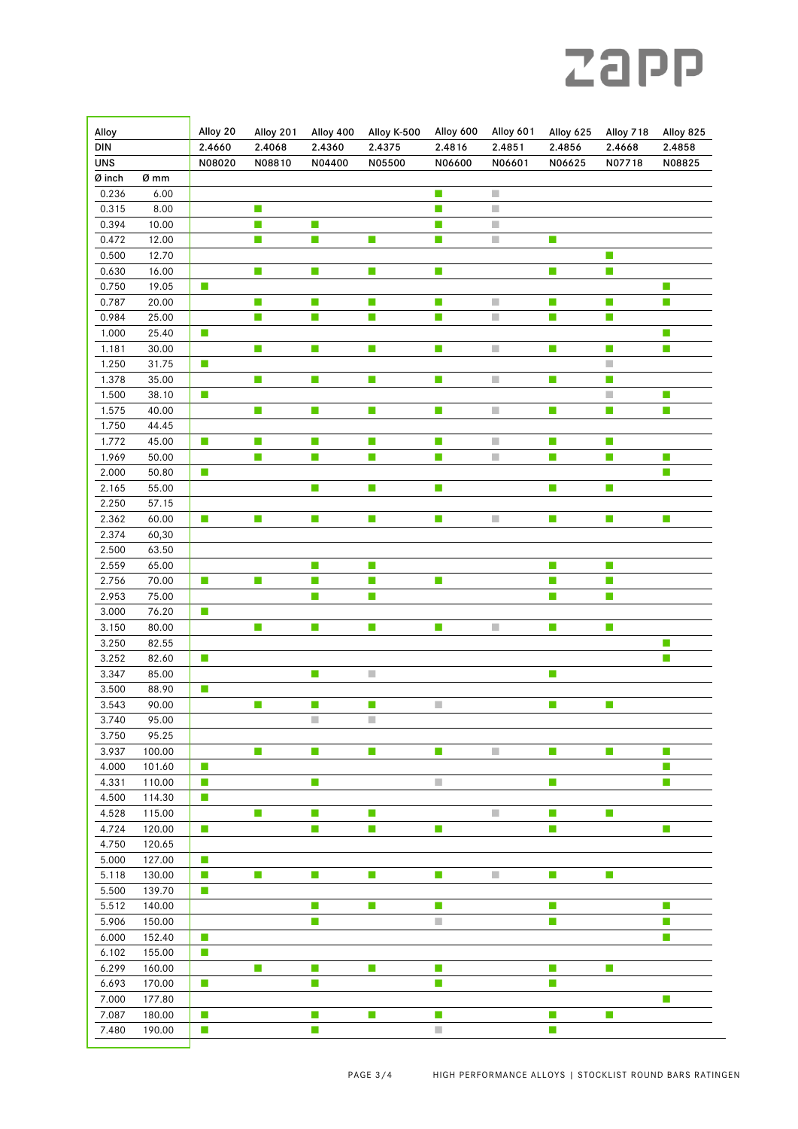## **Zapp**

| Alloy<br><b>DIN</b> |                  | Alloy 20<br>2.4660          | Alloy 201<br>2.4068         | Alloy 400<br>2.4360         | Alloy K-500<br>2.4375       | Alloy 600<br>2.4816         | Alloy 601<br>2.4851         | Alloy 625<br>2.4856     | Alloy 718<br>2.4668         | Alloy 825<br>2.4858 |
|---------------------|------------------|-----------------------------|-----------------------------|-----------------------------|-----------------------------|-----------------------------|-----------------------------|-------------------------|-----------------------------|---------------------|
| <b>UNS</b>          |                  | N08020                      | N08810                      | N04400                      | N05500                      | N06600                      | N06601                      | N06625                  | N07718                      | N08825              |
| Ø inch              | Ø mm             |                             |                             |                             |                             |                             |                             |                         |                             |                     |
| 0.236               | 6.00             |                             |                             |                             |                             | $\Box$                      |                             |                         |                             |                     |
| 0.315               | 8.00             |                             | ш                           |                             |                             | П                           | п                           |                         |                             |                     |
| 0.394               | 10.00            |                             | m,                          | $\mathcal{L}_{\mathcal{A}}$ |                             | П                           | $\mathcal{L}_{\mathcal{A}}$ |                         |                             |                     |
| 0.472               | 12.00            |                             | $\mathbb{R}^n$              | $\mathcal{C}_{\mathcal{A}}$ | $\mathcal{L}_{\mathcal{A}}$ | T.                          | ×,                          | H                       |                             |                     |
| 0.500               | 12.70            |                             |                             |                             |                             |                             |                             |                         | H,                          |                     |
| 0.630               | 16.00            |                             | $\mathcal{L}_{\mathcal{A}}$ | $\mathcal{C}_{\mathcal{A}}$ | $\mathcal{C}^{\mathcal{A}}$ | П                           |                             | I.                      | $\mathcal{C}_{\mathcal{A}}$ |                     |
| 0.750               | 19.05            | $\mathcal{C}^{\mathcal{A}}$ |                             |                             |                             |                             |                             |                         |                             | П                   |
| 0.787               | 20.00            |                             | T.                          | $\mathcal{C}_{\mathcal{A}}$ | $\mathcal{C}$               | <b>I</b>                    | $\mathcal{L}_{\mathcal{A}}$ | П                       | $\Box$                      | П                   |
| 0.984               | 25.00            |                             | T.                          | $\Box$                      | $\mathcal{L}_{\mathcal{A}}$ | $\Box$                      | ×.                          | $\overline{\mathbb{R}}$ | $\mathcal{C}^{\mathcal{A}}$ |                     |
| 1.000               | 25.40            | $\mathbb{R}^n$              |                             |                             |                             |                             |                             |                         |                             | T.                  |
| 1.181               | 30.00            |                             | T.                          | m,                          | $\mathcal{L}_{\mathcal{A}}$ | П                           | $\overline{\phantom{a}}$    | П                       | П                           | T.                  |
| 1.250               | 31.75            | $\mathcal{L}_{\mathcal{A}}$ |                             |                             |                             |                             |                             |                         | $\mathcal{L}_{\mathcal{A}}$ |                     |
| 1.378               | 35.00            |                             | П                           | $\mathcal{C}$               | $\mathcal{L}_{\mathcal{A}}$ | П                           |                             | I.                      | П                           |                     |
| 1.500               | 38.10            | $\mathcal{L}_{\mathcal{A}}$ |                             |                             |                             |                             |                             |                         | $\mathcal{L}_{\mathcal{A}}$ |                     |
| 1.575               | 40.00            |                             | п                           | m,                          | m,                          | П                           | $\mathcal{L}_{\mathcal{A}}$ | П                       | m,                          | T.                  |
| 1.750               | 44.45            |                             |                             |                             |                             |                             |                             |                         |                             |                     |
| 1.772               | 45.00            | m,                          | T.                          | T.                          | m,                          | П                           | $\mathcal{L}_{\mathcal{A}}$ | П                       | T.                          |                     |
| 1.969               | 50.00            | $\mathcal{C}^{\mathcal{C}}$ | m,                          | m,                          | T.                          | П                           | $\mathcal{L}_{\mathcal{A}}$ | П                       | $\mathcal{C}_{\mathcal{A}}$ | T.<br>П             |
| 2.000<br>2.165      | 50.80<br>55.00   |                             |                             | $\Box$                      | $\mathcal{C}^{\mathcal{A}}$ | П                           |                             | П                       | $\Box$                      |                     |
| 2.250               | 57.15            |                             |                             |                             |                             |                             |                             |                         |                             |                     |
| 2.362               | 60.00            | $\mathcal{L}_{\mathcal{A}}$ | T.                          | $\mathcal{C}_{\mathcal{A}}$ | $\mathcal{L}_{\mathcal{A}}$ | <b>I</b>                    | $\mathcal{L}_{\mathcal{A}}$ | $\mathbb{Z}^2$          | $\Box$                      | m.                  |
| 2.374               | 60,30            |                             |                             |                             |                             |                             |                             |                         |                             |                     |
| 2.500               | 63.50            |                             |                             |                             |                             |                             |                             |                         |                             |                     |
| 2.559               | 65.00            |                             |                             | $\mathcal{L}_{\mathcal{A}}$ | $\mathcal{L}_{\mathcal{A}}$ |                             |                             | u                       | $\mathcal{C}$               |                     |
| 2.756               | 70.00            | $\mathcal{L}_{\mathcal{A}}$ | П                           | $\mathcal{C}_{\mathcal{A}}$ | $\mathcal{L}_{\mathcal{A}}$ | m,                          |                             | I.                      | $\mathcal{C}$               |                     |
| 2.953               | 75.00            |                             |                             | $\mathcal{C}_{\mathcal{A}}$ | $\mathcal{L}_{\mathcal{A}}$ |                             |                             | H                       | $\mathcal{L}_{\mathcal{A}}$ |                     |
| 3.000               | 76.20            | $\mathbb{R}^n$              |                             |                             |                             |                             |                             |                         |                             |                     |
| 3.150               | 80.00            |                             | П                           | $\mathcal{C}_{\mathcal{A}}$ | $\mathcal{L}_{\mathcal{A}}$ | <b>I</b>                    | $\mathcal{L}_{\mathcal{A}}$ | T.                      | $\Box$                      |                     |
| 3.250               | 82.55            |                             |                             |                             |                             |                             |                             |                         |                             | T.                  |
| 3.252               | 82.60            | $\mathbb{R}^n$              |                             |                             |                             |                             |                             |                         |                             | T.                  |
| 3.347               | 85.00            |                             |                             | $\mathcal{C}_{\mathcal{A}}$ | o.                          |                             |                             | I.                      |                             |                     |
| 3.500               | 88.90            | $\mathcal{L}_{\mathcal{A}}$ |                             |                             |                             |                             |                             |                         |                             |                     |
| 3.543               | 90.00            |                             | $\mathcal{L}_{\mathcal{A}}$ | $\mathcal{C}$               | $\mathcal{L}_{\mathcal{A}}$ | $\mathbb{R}^n$              |                             | $\Box$                  | $\mathcal{C}$               |                     |
| 3.740               | 95.00            |                             |                             | $\mathcal{L}_{\mathcal{A}}$ | $\mathcal{L}_{\mathcal{A}}$ |                             |                             |                         |                             |                     |
| 3.750               | 95.25            |                             |                             |                             |                             |                             |                             |                         |                             |                     |
| 3.937               | 100.00           |                             | П                           | $\Box$                      | $\mathcal{L}_{\mathcal{A}}$ | $\Box$                      | $\mathcal{L}_{\mathcal{A}}$ | $\Box$                  | $\mathbb{Z}$                | Т.                  |
| 4.000               | 101.60           | $\mathcal{L}_{\mathcal{A}}$ |                             |                             |                             |                             |                             |                         |                             | П                   |
| 4.331               | 110.00           | T.                          |                             | m.                          |                             | $\mathcal{L}_{\mathcal{A}}$ |                             | П                       |                             | Т.                  |
| 4.500               | 114.30           | $\mathcal{L}_{\mathcal{A}}$ |                             |                             |                             |                             |                             |                         |                             |                     |
| 4.528               | 115.00           |                             | ш                           | $\Box$                      | $\mathcal{L}_{\mathcal{A}}$ |                             |                             | W                       | LЦ.                         |                     |
| 4.724               | 120.00           | $\mathbb{R}^n$              |                             | $\mathcal{L}_{\mathcal{A}}$ | $\mathbb{Z}^2$              | $\Box$                      |                             | П                       |                             | T.                  |
| 4.750               | 120.65           |                             |                             |                             |                             |                             |                             |                         |                             |                     |
| 5.000<br>5.118      | 127.00<br>130.00 | П                           |                             |                             |                             |                             |                             |                         |                             |                     |
|                     |                  | $\mathcal{L}_{\mathcal{A}}$ | $\mathcal{L}_{\mathcal{A}}$ | H,                          | $\mathcal{L}_{\mathcal{A}}$ | П                           | $\mathcal{L}_{\mathcal{A}}$ | V.                      | $\Box$                      |                     |
| 5.500<br>5.512      | 139.70<br>140.00 | T.                          |                             | m,                          | $\mathcal{L}_{\mathcal{A}}$ | T.                          |                             | П                       |                             | T.                  |
| 5.906               | 150.00           |                             |                             | $\mathcal{C}_{\mathcal{A}}$ |                             | o.                          |                             | H                       |                             | T.                  |
| 6.000               | 152.40           | $\mathbb{R}^n$              |                             |                             |                             |                             |                             |                         |                             | T.                  |
| 6.102               | 155.00           | $\mathbb{R}^n$              |                             |                             |                             |                             |                             |                         |                             |                     |
| 6.299               | 160.00           |                             | П                           | m.                          | $\mathcal{L}_{\mathcal{A}}$ | Т.                          |                             | I.                      | m.                          |                     |
| 6.693               | 170.00           | T.                          |                             | П                           |                             | П                           |                             | П                       |                             |                     |
| 7.000               | 177.80           |                             |                             |                             |                             |                             |                             |                         |                             | T.                  |
| 7.087               | 180.00           | $\mathcal{L}_{\mathcal{A}}$ |                             | H,                          | $\mathcal{C}^{\mathcal{A}}$ | П                           |                             | V.                      | $\mathcal{C}$               |                     |
| 7.480               | 190.00           | $\mathcal{L}_{\mathcal{A}}$ |                             | $\mathcal{L}_{\mathcal{A}}$ |                             | $\mathcal{L}_{\mathcal{A}}$ |                             | П                       |                             |                     |
|                     |                  |                             |                             |                             |                             |                             |                             |                         |                             |                     |